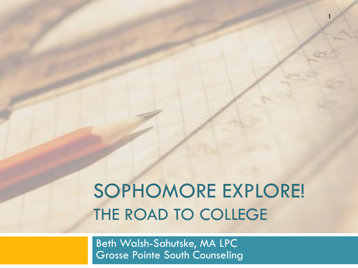### SOPHOMORE EXPLORE! THE ROAD TO COLLEGE

**1**

Beth Walsh-Sahutske, MA LPC Grosse Pointe South Counseling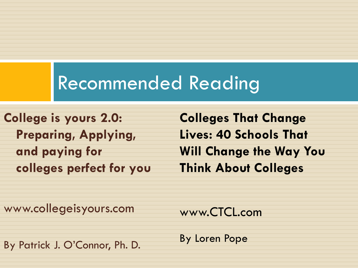#### Recommended Reading

**College is yours 2.0: Preparing, Applying, and paying for colleges perfect for you**

**Colleges That Change Lives: 40 Schools That Will Change the Way You Think About Colleges**

www.collegeisyours.com

www.CTCL.com

By Patrick J. O'Connor, Ph. D.

By Loren Pope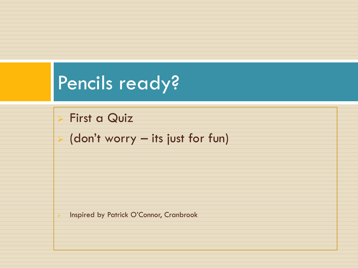#### Pencils ready?

**First a Quiz** 

 $\triangleright$  (don't worry – its just for fun)

> Inspired by Patrick O'Connor, Cranbrook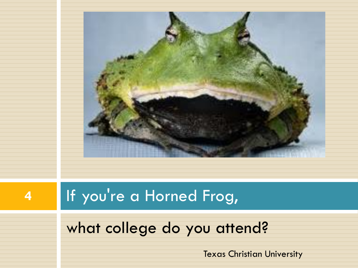

#### **4** If you're a Horned Frog,

#### what college do you attend?

Texas Christian University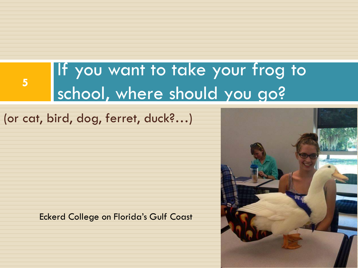#### If you want to take your frog to school, where should you go?

(or cat, bird, dog, ferret, duck?…)

**5**

Eckerd College on Florida's Gulf Coast

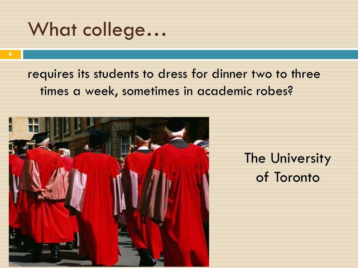#### What college…

**6**

#### requires its students to dress for dinner two to three times a week, sometimes in academic robes?

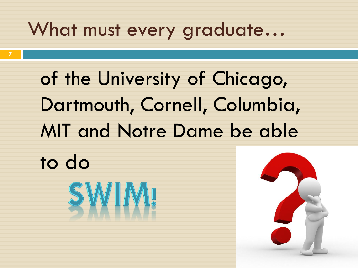#### What must every graduate...

of the University of Chicago, Dartmouth, Cornell, Columbia, MIT and Notre Dame be able

to do

**7**

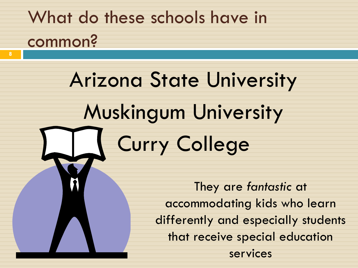### What do these schools have in common?

**8**

## Arizona State University Muskingum University Curry College

They are *fantastic* at accommodating kids who learn differently and especially students that receive special education services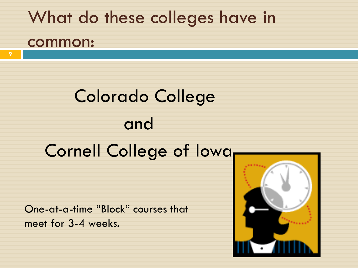# What do these colleges have in common: Colorado College and

One-at-a-time "Block" courses that meet for 3-4 weeks.

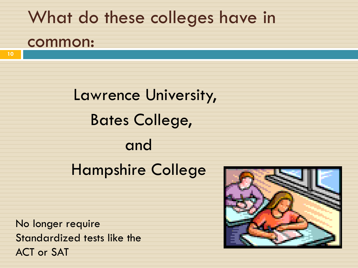#### What do these colleges have in

#### common:

Lawrence University, Bates College, and Hampshire College

No longer require Standardized tests like the ACT or SAT

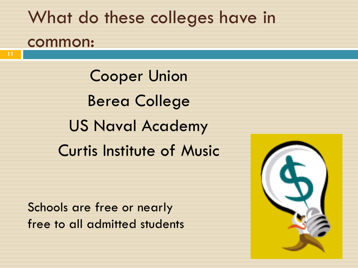#### What do these colleges have in common:

Cooper Union Berea College US Naval Academy Curtis Institute of Music

Schools are free or nearly free to all admitted students

**11**

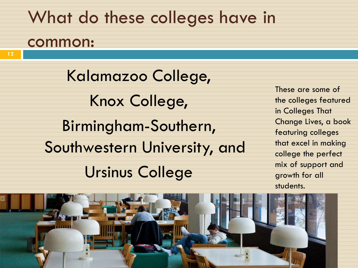#### What do these colleges have in

#### common:

Kalamazoo College, Knox College, Birmingham-Southern, Southwestern University, and Ursinus College

These are some of the colleges featured in Colleges That Change Lives, a book featuring colleges that excel in making college the perfect mix of support and growth for all students.

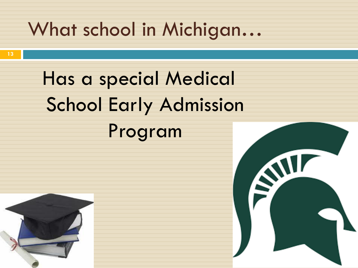#### What school in Michigan…

Has a special Medical School Early Admission Program



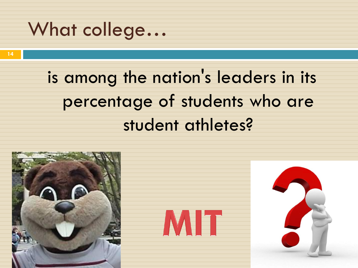#### What college…

is among the nation's leaders in its percentage of students who are student athletes?

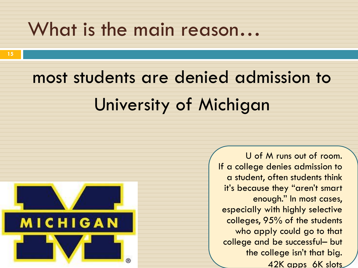#### What is the main reason…

### most students are denied admission to University of Michigan



U of M runs out of room. If a college denies admission to a student, often students think it's because they "aren't smart enough." In most cases, especially with highly selective colleges, 95% of the students who apply could go to that college and be successful– but the college isn't that big. 42K apps 6K slots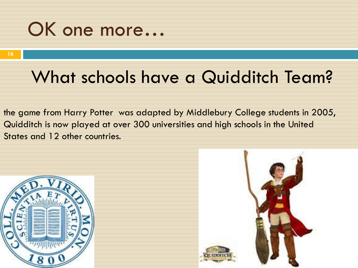#### OK one more…

#### What schools have a Quidditch Team?

the game from Harry Potter was adapted by Middlebury College students in 2005, Quidditch is now played at over 300 universities and high schools in the United States and 12 other countries.



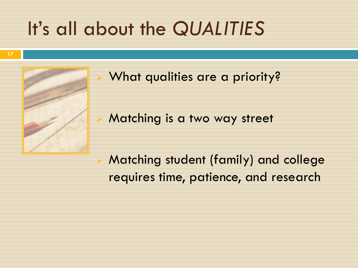#### It's all about the *QUALITIES*



What qualities are a priority?

Matching is a two way street

 Matching student (family) and college requires time, patience, and research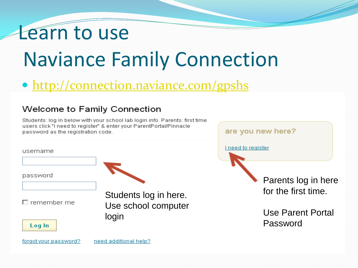#### Learn to use

## Naviance Family Connection

#### • <http://connection.naviance.com/gpshs>

#### Welcome to Family Connection

Students: log in below with your school lab login info. Parents: first time users click"I need to register" & enter your ParentPortal/Pinnacle password as the registration code.



are you new here?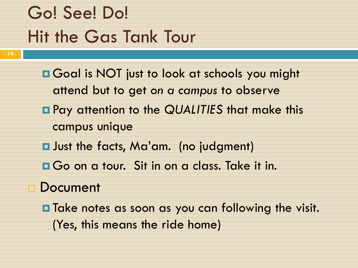### Go! See! Do! Hit the Gas Tank Tour

- **E** Goal is NOT just to look at schools you might attend but to get *on a campus* to observe Pay attention to the *QUALITIES* that make this campus unique  $\blacksquare$  Just the facts, Ma'am. (no judgment)
- **O**Go on a tour. Sit in on a class. Take it in.
- □ Document
	- **O** Take notes as soon as you can following the visit. (Yes, this means the ride home)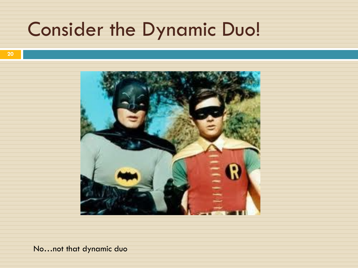#### Consider the Dynamic Duo!



No…not that dynamic duo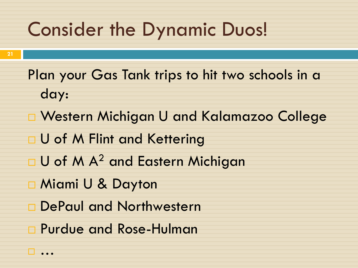#### Consider the Dynamic Duos!

- Plan your Gas Tank trips to hit two schools in a day:
- Western Michigan U and Kalamazoo College
- **U of M Flint and Kettering**
- $\Box$  U of M A<sup>2</sup> and Eastern Michigan
- Miami U & Dayton

…

- DePaul and Northwestern
- Purdue and Rose-Hulman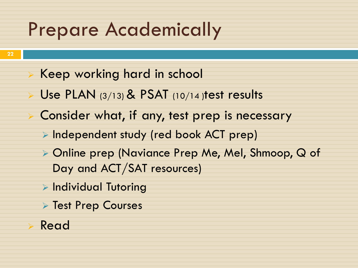#### Prepare Academically

- Keep working hard in school
- Use PLAN  $(3/13)$  & PSAT  $(10/14)$  test results
- Consider what, if any, test prep is necessary
	- $\triangleright$  Independent study (red book ACT prep)
	- Online prep (Naviance Prep Me, Mel, Shmoop, Q of Day and ACT/SAT resources)
	- $\triangleright$  Individual Tutoring
	- **Test Prep Courses**

#### Read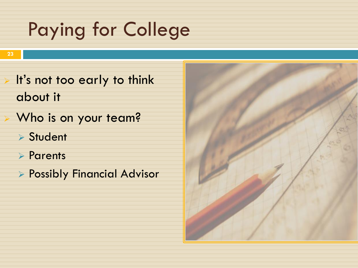### Paying for College

- **23**
- $\triangleright$  It's not too early to think about it
	- Who is on your team?
		- **> Student**
		- **Parents**
		- **Possibly Financial Advisor**

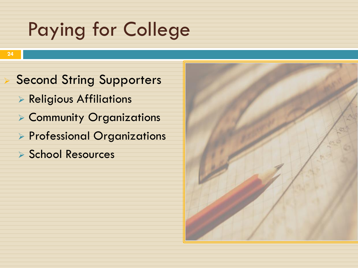### Paying for College

**24**

- Second String Supporters
	- **Religious Affiliations**
	- Community Organizations
	- **Professional Organizations**
	- ▶ School Resources

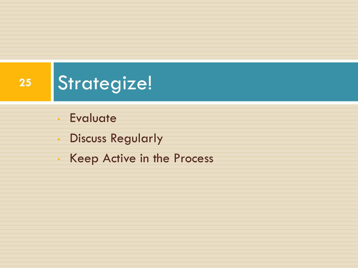### **<sup>25</sup>** Strategize!

- Evaluate
- Discuss Regularly
- Keep Active in the Process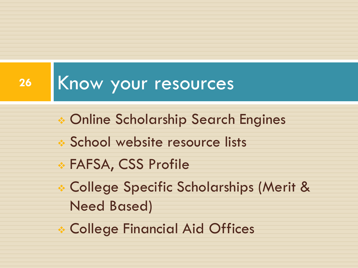#### 26 Know your resources

- Online Scholarship Search Engines
- **School website resource lists**
- FAFSA, CSS Profile
- College Specific Scholarships (Merit & Need Based)
- College Financial Aid Offices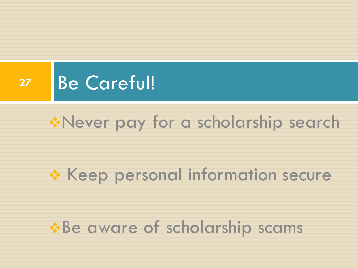

#### \*Never pay for a scholarship search

#### \* Keep personal information secure

#### \*Be aware of scholarship scams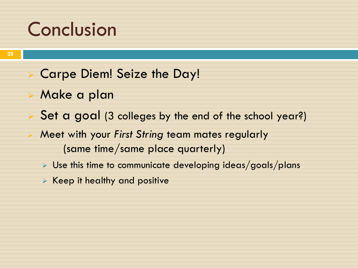#### Conclusion

- Carpe Diem! Seize the Day!
- Make a plan
- Set a goal (3 colleges by the end of the school year?)
- Meet with your *First String* team mates regularly (same time/same place quarterly)
	- $\triangleright$  Use this time to communicate developing ideas/goals/plans
	- $\triangleright$  Keep it healthy and positive